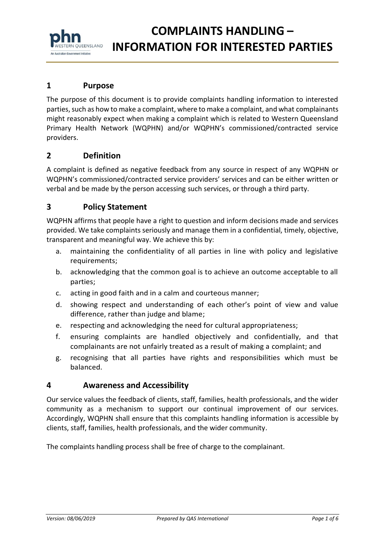#### **COMPLAINTS HANDLING – FERN OUEENSLAND INFORMATION FOR INTERESTED PARTIES** An Australian Government Initiative

## **1 Purpose**

The purpose of this document is to provide complaints handling information to interested parties, such as how to make a complaint, where to make a complaint, and what complainants might reasonably expect when making a complaint which is related to Western Queensland Primary Health Network (WQPHN) and/or WQPHN's commissioned/contracted service providers.

## **2 Definition**

A complaint is defined as negative feedback from any source in respect of any WQPHN or WQPHN's commissioned/contracted service providers' services and can be either written or verbal and be made by the person accessing such services, or through a third party.

## **3 Policy Statement**

WQPHN affirms that people have a right to question and inform decisions made and services provided. We take complaints seriously and manage them in a confidential, timely, objective, transparent and meaningful way. We achieve this by:

- a. maintaining the confidentiality of all parties in line with policy and legislative requirements;
- b. acknowledging that the common goal is to achieve an outcome acceptable to all parties;
- c. acting in good faith and in a calm and courteous manner;
- d. showing respect and understanding of each other's point of view and value difference, rather than judge and blame;
- e. respecting and acknowledging the need for cultural appropriateness;
- f. ensuring complaints are handled objectively and confidentially, and that complainants are not unfairly treated as a result of making a complaint; and
- g. recognising that all parties have rights and responsibilities which must be balanced.

### **4 Awareness and Accessibility**

Our service values the feedback of clients, staff, families, health professionals, and the wider community as a mechanism to support our continual improvement of our services. Accordingly, WQPHN shall ensure that this complaints handling information is accessible by clients, staff, families, health professionals, and the wider community.

The complaints handling process shall be free of charge to the complainant.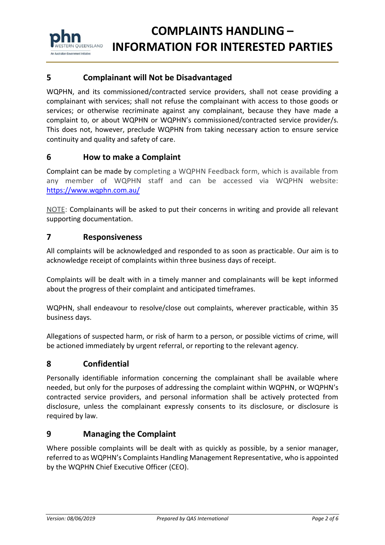

## **5 Complainant will Not be Disadvantaged**

WQPHN, and its commissioned/contracted service providers, shall not cease providing a complainant with services; shall not refuse the complainant with access to those goods or services; or otherwise recriminate against any complainant, because they have made a complaint to, or about WQPHN or WQPHN's commissioned/contracted service provider/s. This does not, however, preclude WQPHN from taking necessary action to ensure service continuity and quality and safety of care.

### **6 How to make a Complaint**

Complaint can be made by completing a WQPHN Feedback form, which is available from any member of WQPHN staff and can be accessed via WQPHN website: <https://www.wqphn.com.au/>

NOTE: Complainants will be asked to put their concerns in writing and provide all relevant supporting documentation.

#### **7 Responsiveness**

All complaints will be acknowledged and responded to as soon as practicable. Our aim is to acknowledge receipt of complaints within three business days of receipt.

Complaints will be dealt with in a timely manner and complainants will be kept informed about the progress of their complaint and anticipated timeframes.

WQPHN, shall endeavour to resolve/close out complaints, wherever practicable, within 35 business days.

Allegations of suspected harm, or risk of harm to a person, or possible victims of crime, will be actioned immediately by urgent referral, or reporting to the relevant agency.

#### **8 Confidential**

Personally identifiable information concerning the complainant shall be available where needed, but only for the purposes of addressing the complaint within WQPHN, or WQPHN's contracted service providers, and personal information shall be actively protected from disclosure, unless the complainant expressly consents to its disclosure, or disclosure is required by law.

#### **9 Managing the Complaint**

Where possible complaints will be dealt with as quickly as possible, by a senior manager, referred to as WQPHN's Complaints Handling Management Representative, who is appointed by the WQPHN Chief Executive Officer (CEO).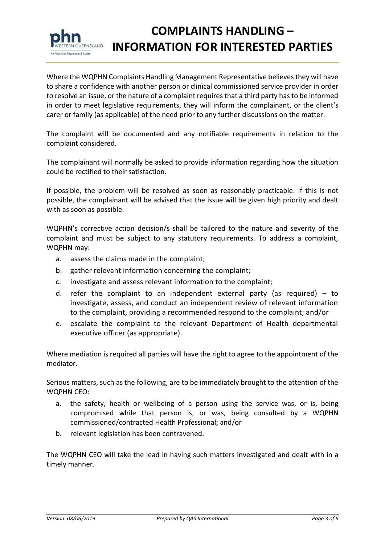

# **COMPLAINTS HANDLING – INFORMATION FOR INTERESTED PARTIES**

Where the WQPHN Complaints Handling Management Representative believes they will have to share a confidence with another person or clinical commissioned service provider in order to resolve an issue, or the nature of a complaint requires that a third party has to be informed in order to meet legislative requirements, they will inform the complainant, or the client's carer or family (as applicable) of the need prior to any further discussions on the matter.

The complaint will be documented and any notifiable requirements in relation to the complaint considered.

The complainant will normally be asked to provide information regarding how the situation could be rectified to their satisfaction.

If possible, the problem will be resolved as soon as reasonably practicable. If this is not possible, the complainant will be advised that the issue will be given high priority and dealt with as soon as possible.

WQPHN's corrective action decision/s shall be tailored to the nature and severity of the complaint and must be subject to any statutory requirements. To address a complaint, WQPHN may:

- a. assess the claims made in the complaint;
- b. gather relevant information concerning the complaint;
- c. investigate and assess relevant information to the complaint;
- d. refer the complaint to an independent external party (as required) to investigate, assess, and conduct an independent review of relevant information to the complaint, providing a recommended respond to the complaint; and/or
- e. escalate the complaint to the relevant Department of Health departmental executive officer (as appropriate).

Where mediation is required all parties will have the right to agree to the appointment of the mediator.

Serious matters, such as the following, are to be immediately brought to the attention of the WQPHN CEO:

- a. the safety, health or wellbeing of a person using the service was, or is, being compromised while that person is, or was, being consulted by a WQPHN commissioned/contracted Health Professional; and/or
- b. relevant legislation has been contravened.

The WQPHN CEO will take the lead in having such matters investigated and dealt with in a timely manner.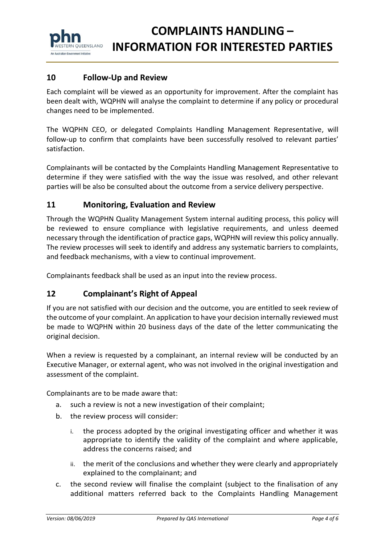

### **10 Follow-Up and Review**

Each complaint will be viewed as an opportunity for improvement. After the complaint has been dealt with, WQPHN will analyse the complaint to determine if any policy or procedural changes need to be implemented.

The WQPHN CEO, or delegated Complaints Handling Management Representative, will follow-up to confirm that complaints have been successfully resolved to relevant parties' satisfaction.

Complainants will be contacted by the Complaints Handling Management Representative to determine if they were satisfied with the way the issue was resolved, and other relevant parties will be also be consulted about the outcome from a service delivery perspective.

#### **11 Monitoring, Evaluation and Review**

Through the WQPHN Quality Management System internal auditing process, this policy will be reviewed to ensure compliance with legislative requirements, and unless deemed necessary through the identification of practice gaps, WQPHN will review this policy annually. The review processes will seek to identify and address any systematic barriers to complaints, and feedback mechanisms, with a view to continual improvement.

Complainants feedback shall be used as an input into the review process.

#### **12 Complainant's Right of Appeal**

If you are not satisfied with our decision and the outcome, you are entitled to seek review of the outcome of your complaint. An application to have your decision internally reviewed must be made to WQPHN within 20 business days of the date of the letter communicating the original decision.

When a review is requested by a complainant, an internal review will be conducted by an Executive Manager, or external agent, who was not involved in the original investigation and assessment of the complaint.

Complainants are to be made aware that:

- a. such a review is not a new investigation of their complaint;
- b. the review process will consider:
	- i. the process adopted by the original investigating officer and whether it was appropriate to identify the validity of the complaint and where applicable, address the concerns raised; and
	- ii. the merit of the conclusions and whether they were clearly and appropriately explained to the complainant; and
- c. the second review will finalise the complaint (subject to the finalisation of any additional matters referred back to the Complaints Handling Management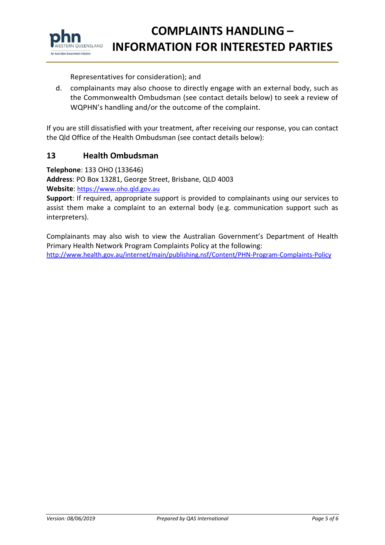

## **COMPLAINTS HANDLING – INFORMATION FOR INTERESTED PARTIES**

Representatives for consideration); and

d. complainants may also choose to directly engage with an external body, such as the [Commonwealth Ombudsman](http://www.ombudsman.gov.au/) (see contact details below) to seek a review of WQPHN's handling and/or the outcome of the complaint.

If you are still dissatisfied with your treatment, after receiving our response, you can contact the Qld Office of the Health Ombudsman (see contact details below):

#### **13 Health Ombudsman**

**Telephone**: 133 OHO (133646)

**Address**: PO Box 13281, George Street, Brisbane, QLD 4003

**Website**: [https://www.oho.qld.gov.au](https://www.oho.qld.gov.au/)

**Support**: If required, appropriate support is provided to complainants using our services to assist them make a complaint to an external body (e.g. communication support such as interpreters).

Complainants may also wish to view the Australian Government's Department of Health Primary Health Network Program Complaints Policy at the following:

<http://www.health.gov.au/internet/main/publishing.nsf/Content/PHN-Program-Complaints-Policy>